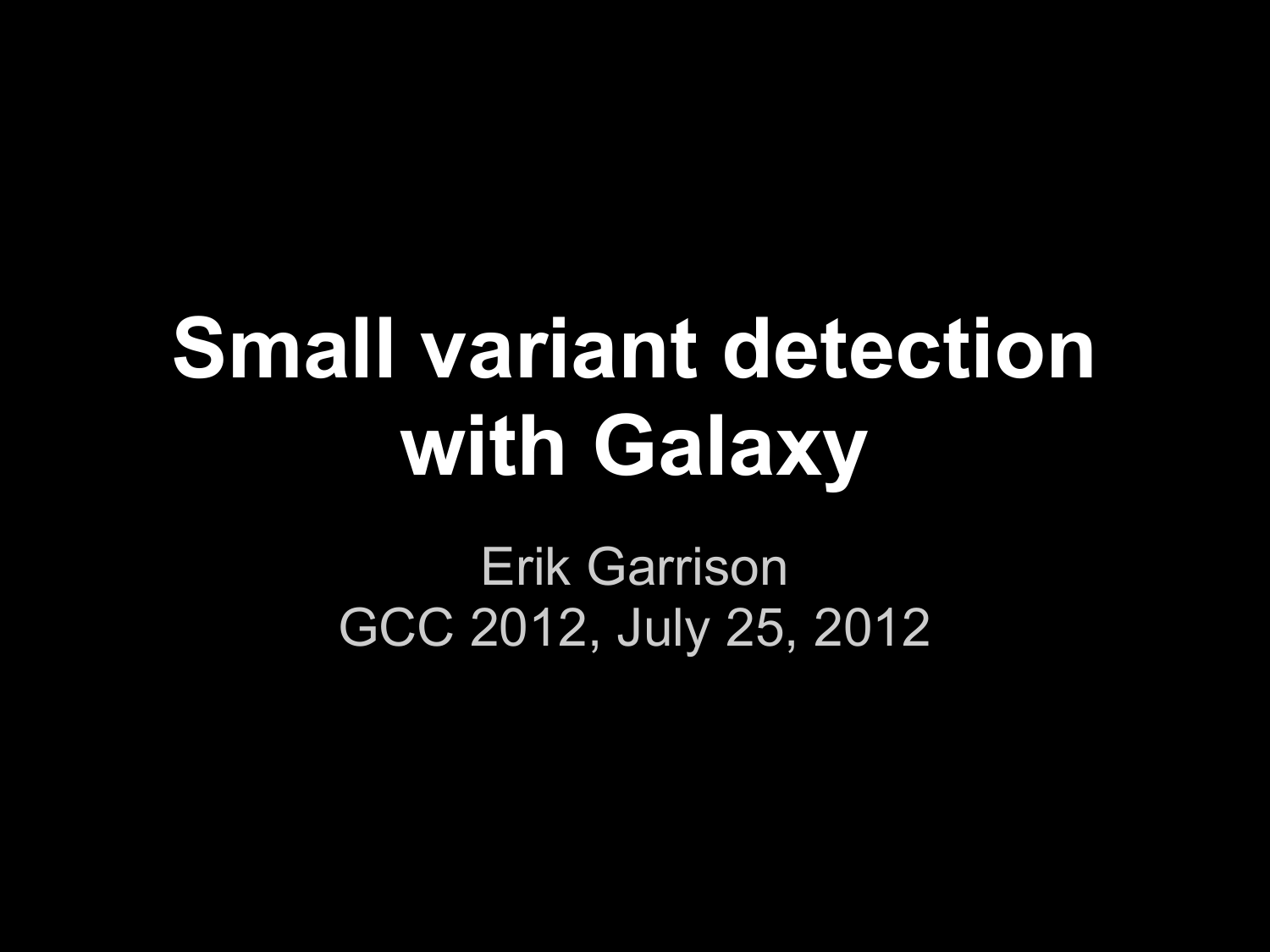# **Small variant detection with Galaxy**

Erik Garrison GCC 2012, July 25, 2012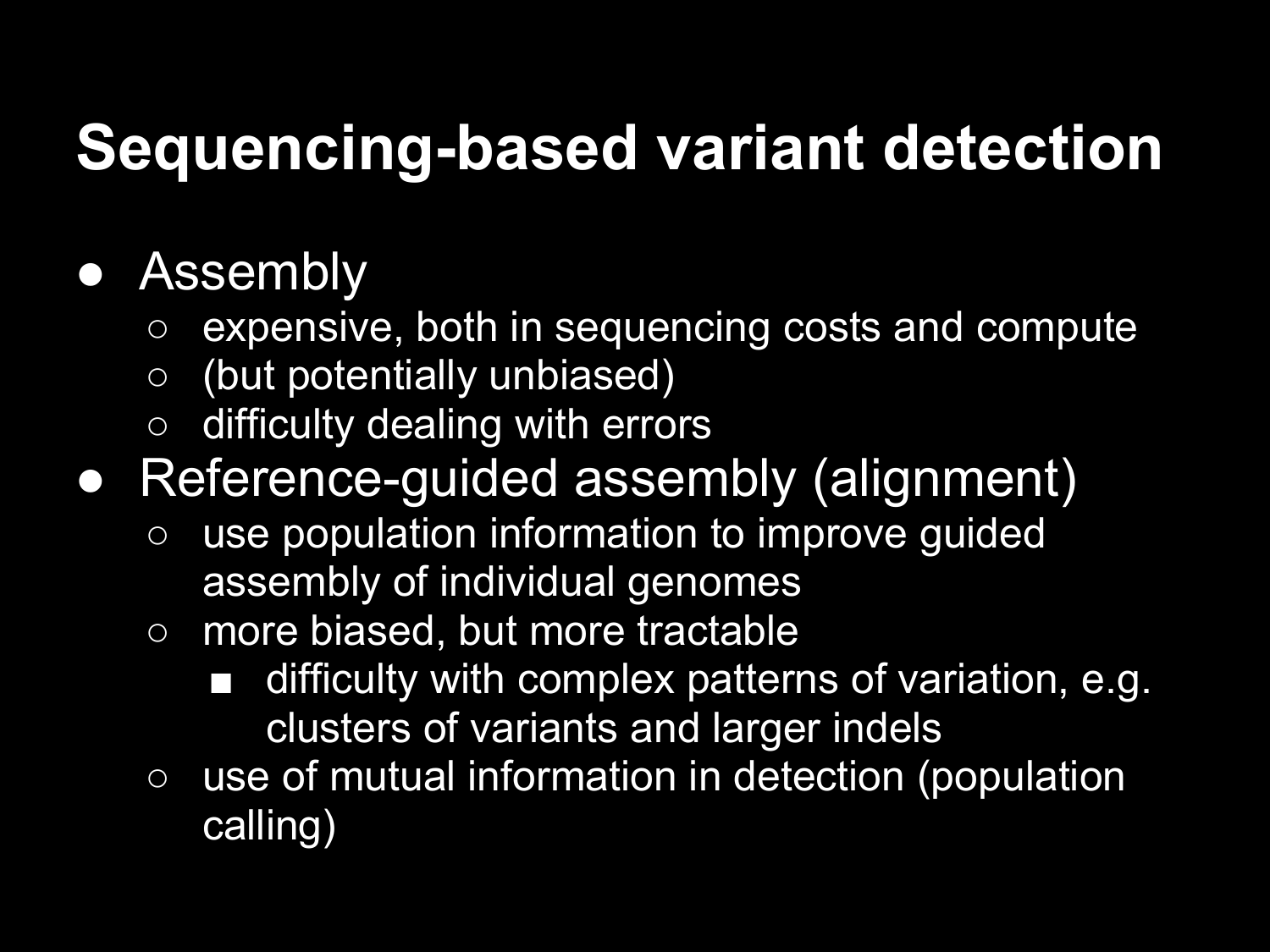# **Sequencing-based variant detection**

#### ● Assembly

- expensive, both in sequencing costs and compute
- (but potentially unbiased)
- difficulty dealing with errors
- Reference-guided assembly (alignment)
	- use population information to improve guided assembly of individual genomes
	- more biased, but more tractable
		- difficulty with complex patterns of variation, e.g. clusters of variants and larger indels
	- use of mutual information in detection (population calling)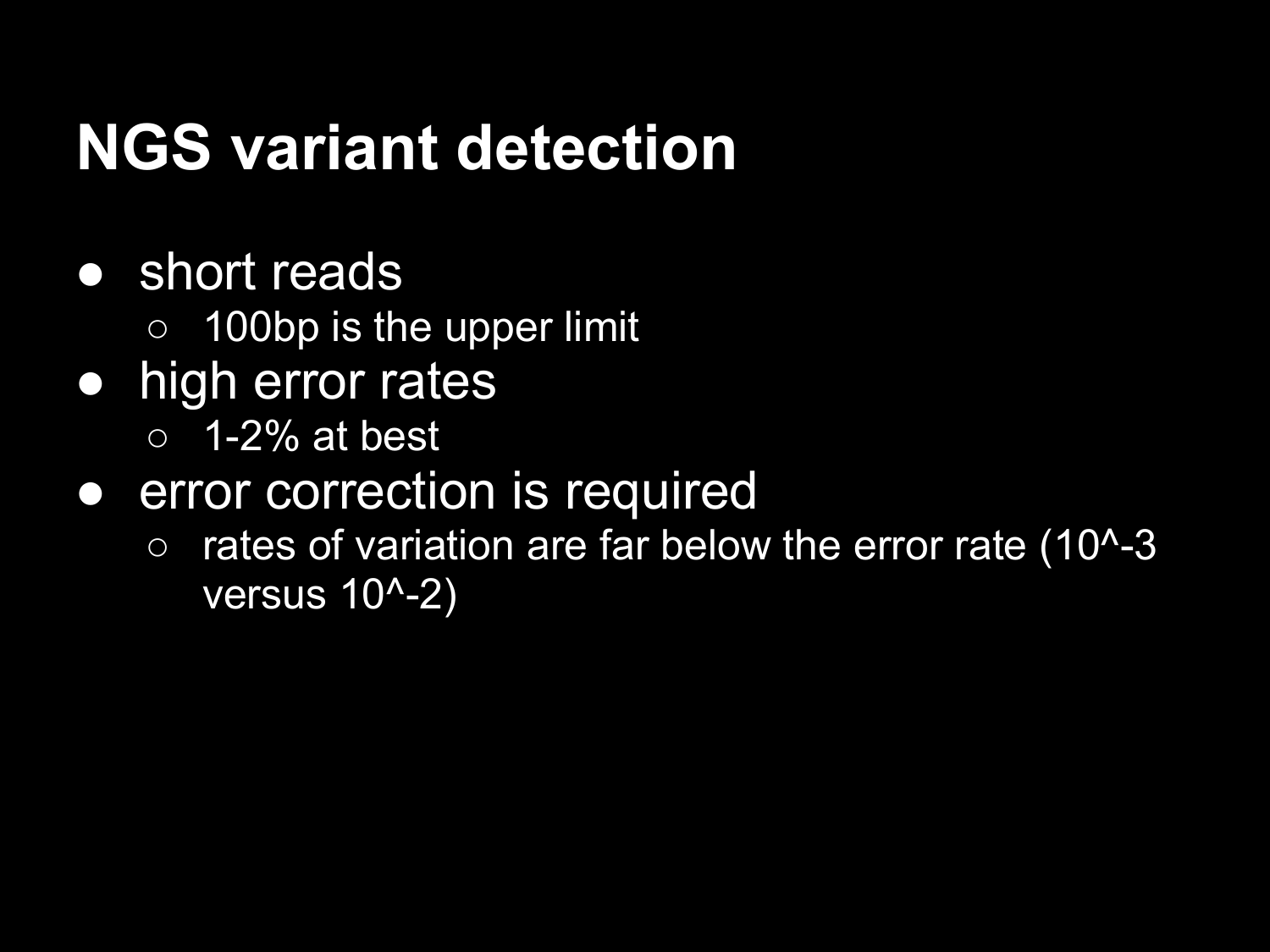# **NGS variant detection**

#### • short reads

- 100bp is the upper limit
- high error rates
	- $\circ$  1-2% at best

#### • error correction is required

 $\circ$  rates of variation are far below the error rate (10^-3 versus 10^-2)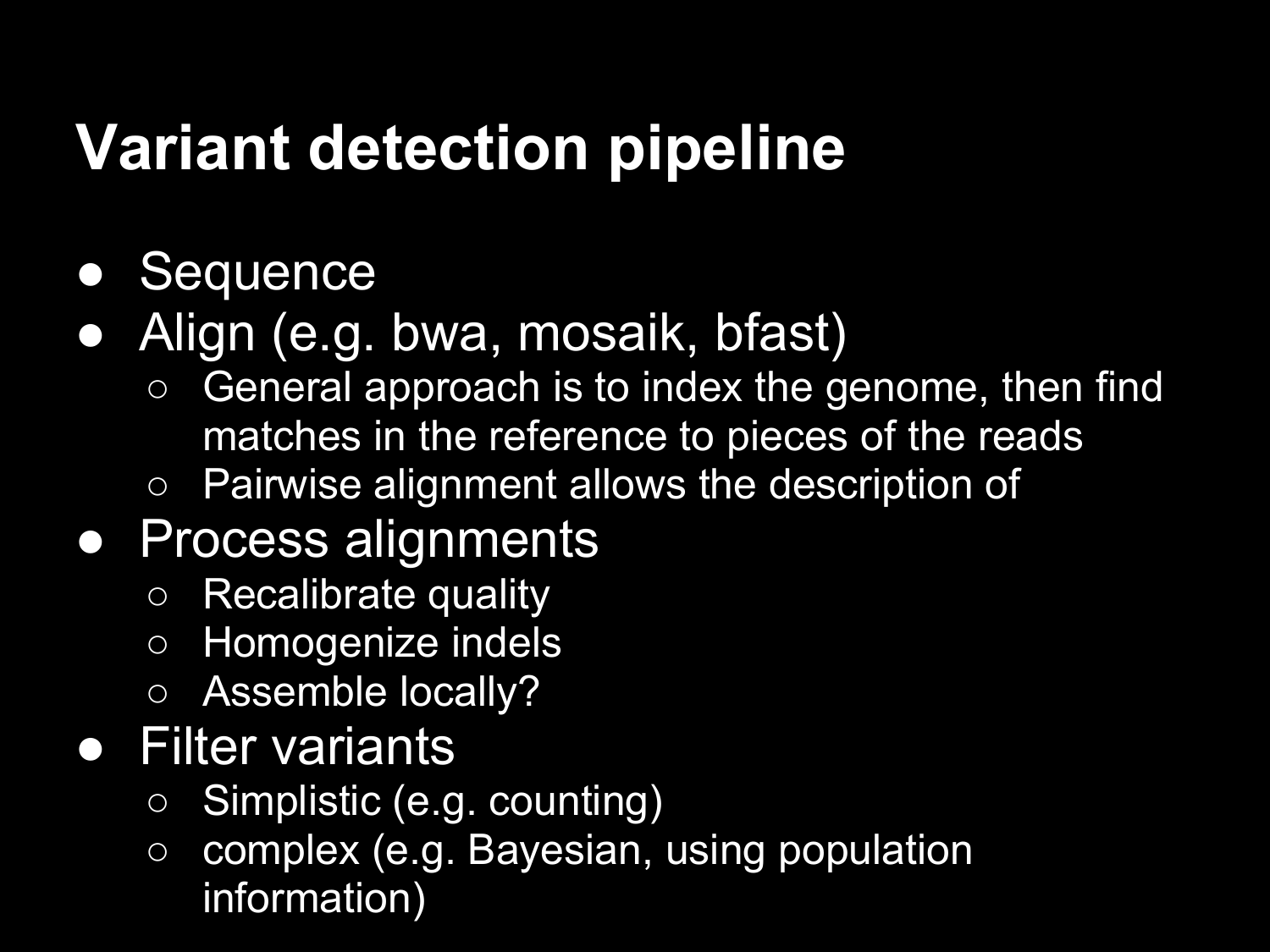# **Variant detection pipeline**

- Sequence
- Align (e.g. bwa, mosaik, bfast)
	- General approach is to index the genome, then find matches in the reference to pieces of the reads
	- Pairwise alignment allows the description of

#### ● Process alignments

- Recalibrate quality
- Homogenize indels
- Assemble locally?
- Filter variants
	- Simplistic (e.g. counting)
	- complex (e.g. Bayesian, using population information)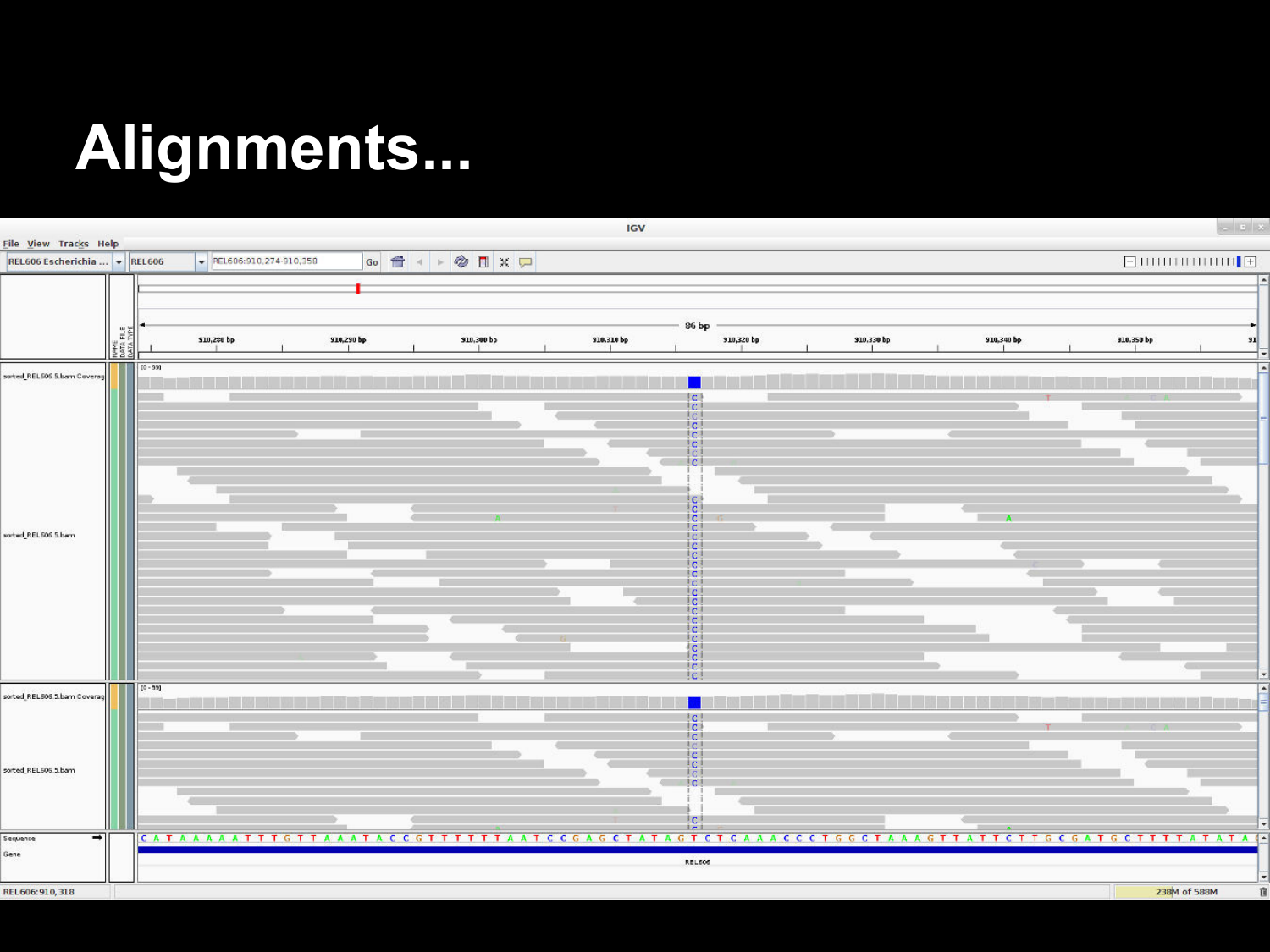### **Alignments...**

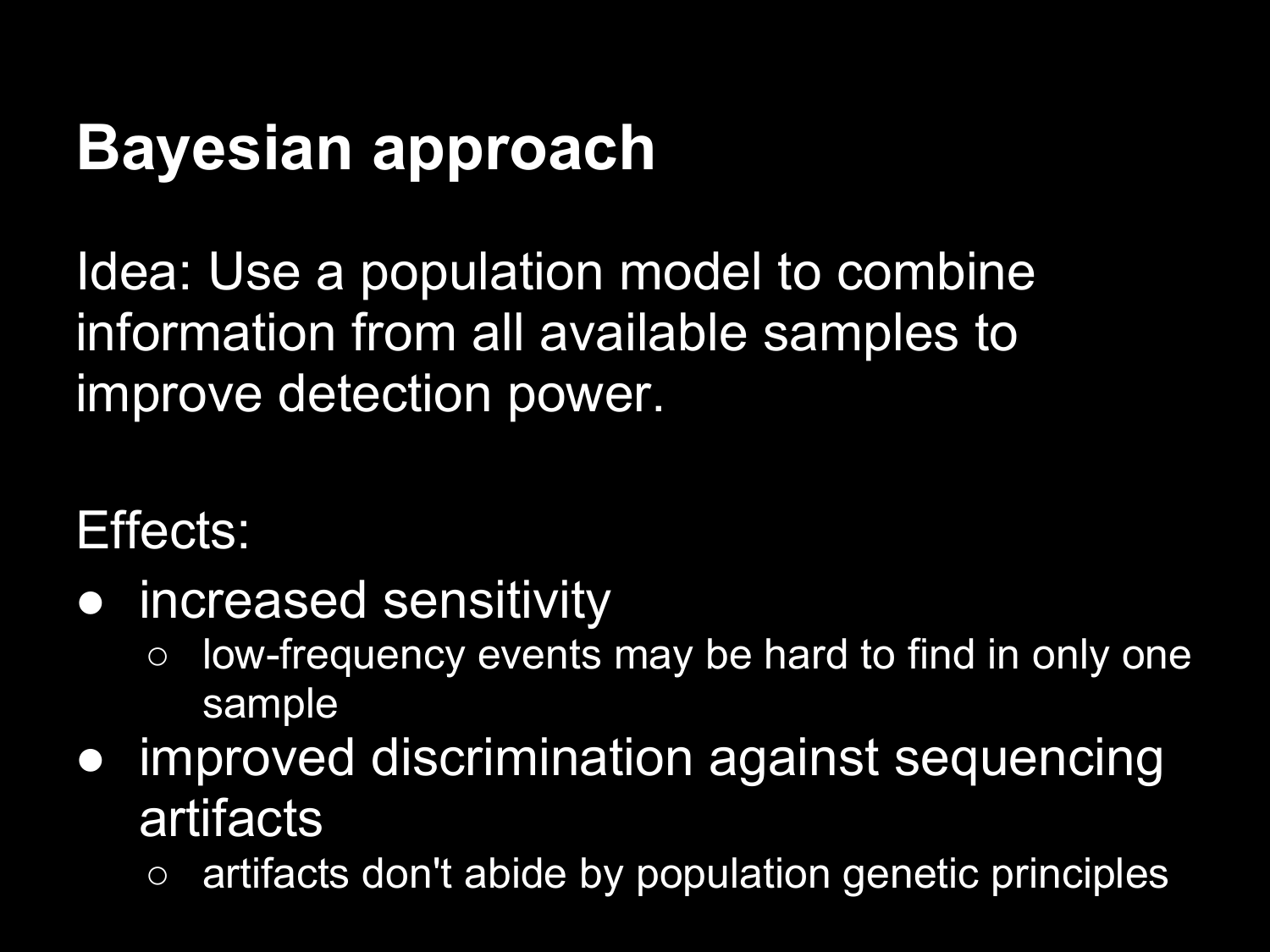# **Bayesian approach**

Idea: Use a population model to combine information from all available samples to improve detection power.

Effects:

- increased sensitivity
	- low-frequency events may be hard to find in only one sample
- improved discrimination against sequencing artifacts
	- artifacts don't abide by population genetic principles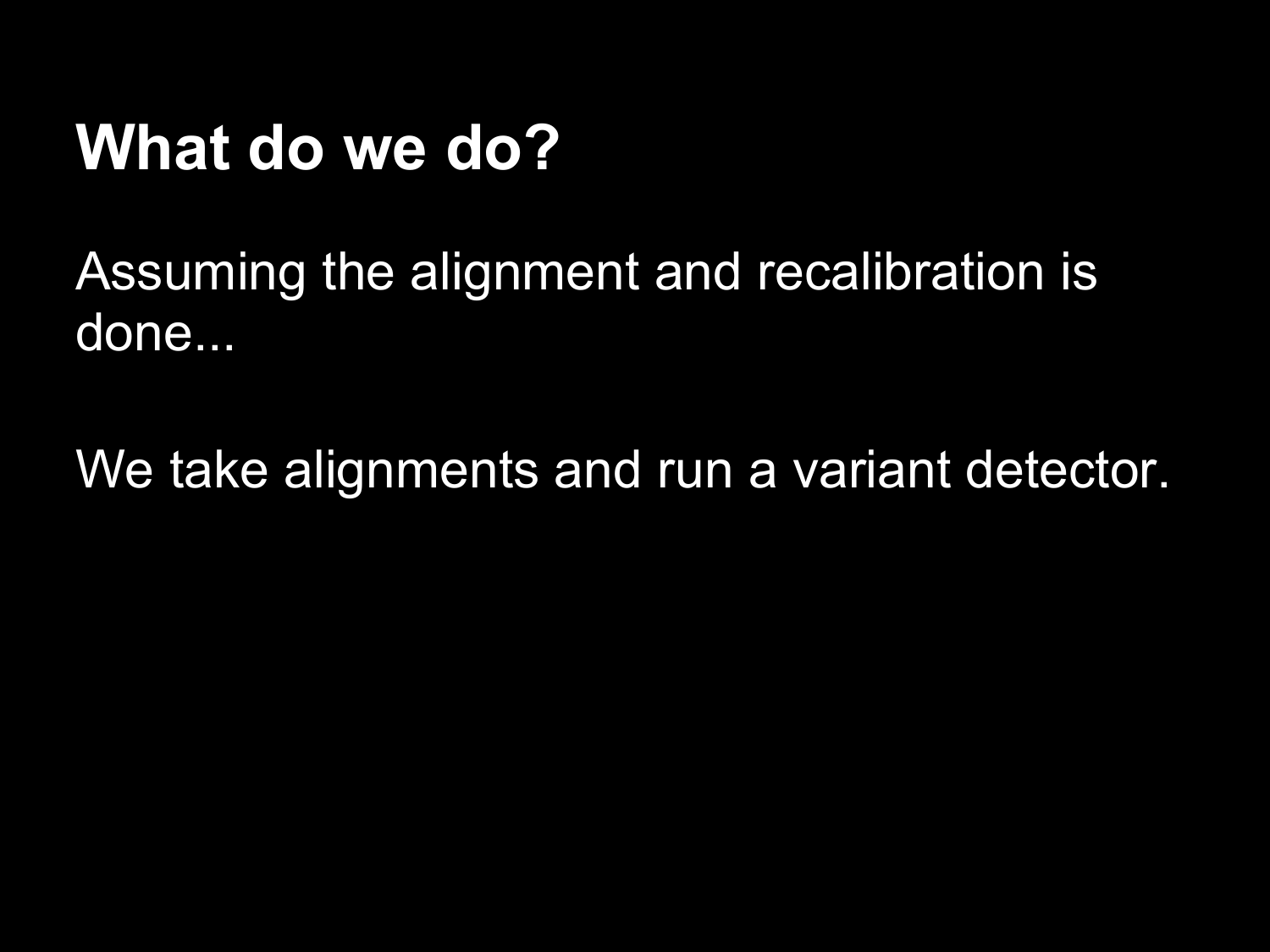### **What do we do?**

Assuming the alignment and recalibration is done...

We take alignments and run a variant detector.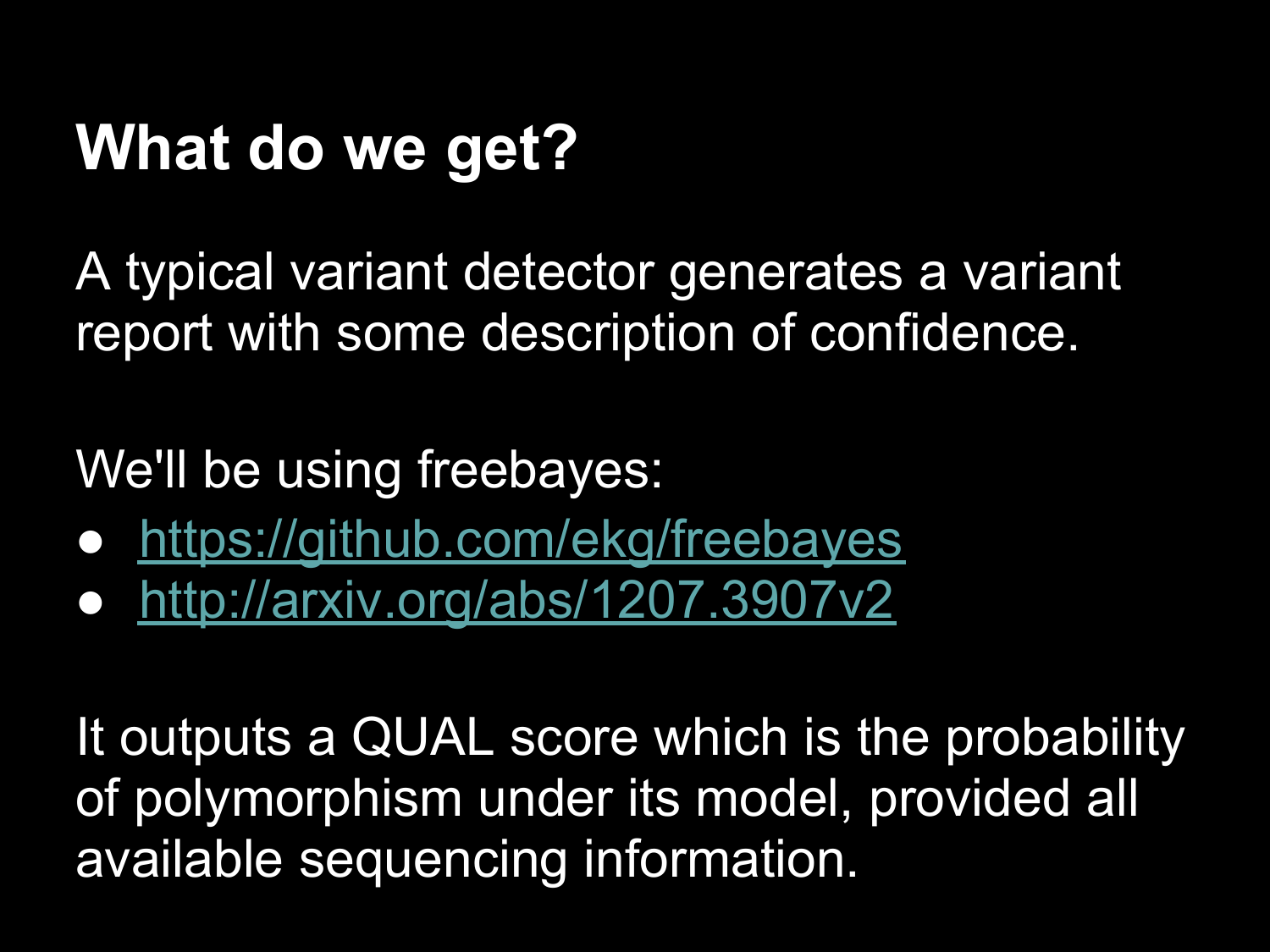# **What do we get?**

A typical variant detector generates a variant report with some description of confidence.

We'll be using freebayes:

- <https://github.com/ekg/freebayes>
- <http://arxiv.org/abs/1207.3907v2>

It outputs a QUAL score which is the probability of polymorphism under its model, provided all available sequencing information.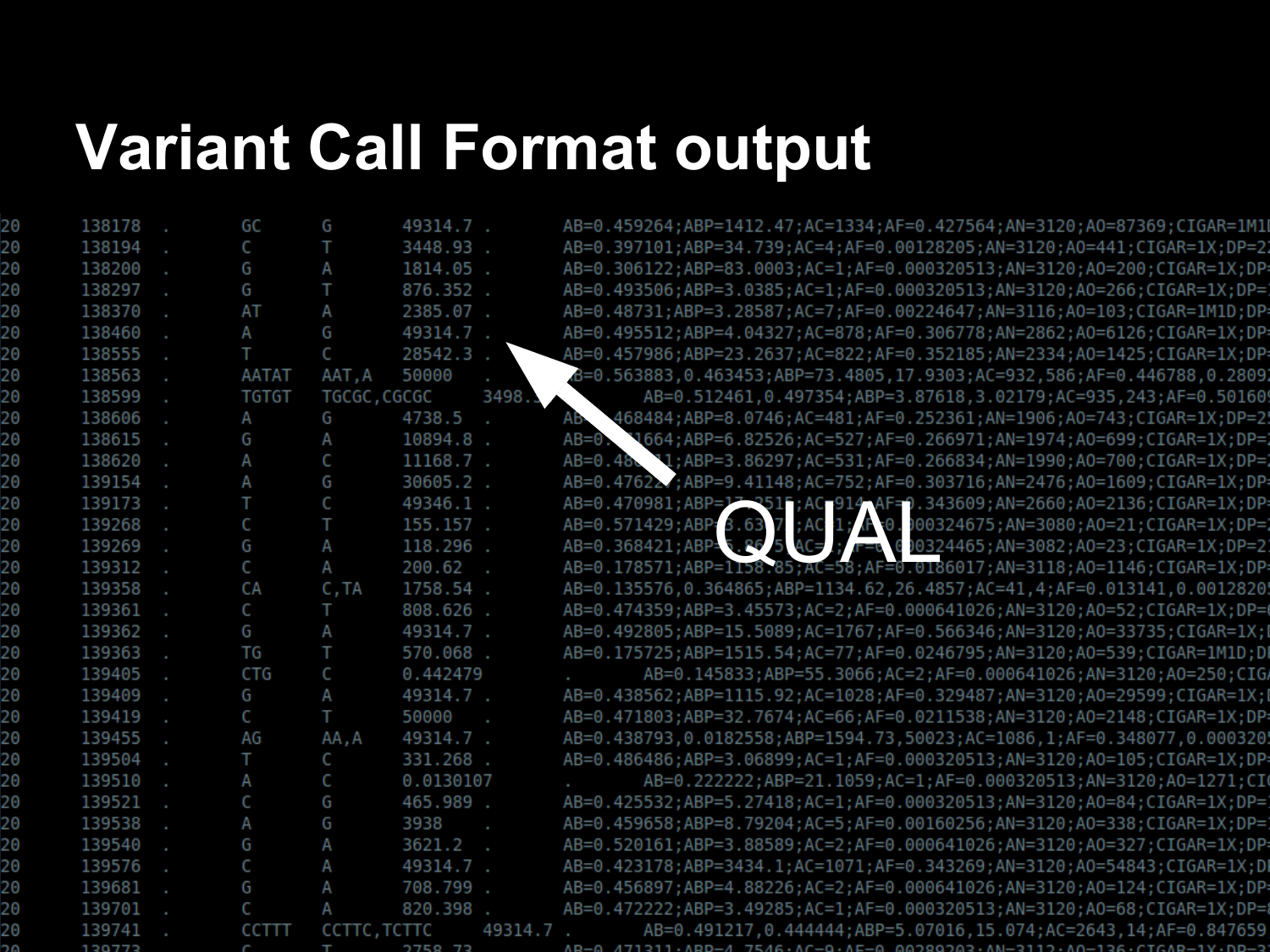#### **Variant Call Format output**

| ZΟ | TO0 T \ 0 | UU.             | U            | 49914.7   |         |
|----|-----------|-----------------|--------------|-----------|---------|
| 20 | 138194    | C               | T            | 3448.93   |         |
| 20 | 138200    | G               | Α            | 1814.05   |         |
| 20 | 138297    | G               | Τ            | 876.352   |         |
| 20 | 138370    | ΑT              | Α            | 2385.07   |         |
| 20 | 138460    | Α               | G            | 49314.7   |         |
| 20 | 138555    | т               | C            | 28542.3   |         |
| 20 | 138563    | AATAT           | AAT, A       | 50000     |         |
| 20 | 138599    | <b>TGTGT</b>    | TGCGC, CGCGC |           | 3498    |
| 20 | 138606    | Α               | G            | 4738.5    |         |
| 20 | 138615    | G               | Α            | 10894.8   |         |
| 20 | 138620    | Α               | C            | 11168.7   |         |
| 20 | 139154    | Α               | G            | 30605.2   |         |
| 20 | 139173    | т               | C            | 49346.1   |         |
| 20 | 139268    | C               | T            | 155.157   |         |
| 20 | 139269    | G               | Α            | 118.296   |         |
| 20 | 139312    | C               | Α            | 200.62    |         |
| 20 | 139358    | CA              | C, TA        | 1758.54   |         |
| 20 | 139361    | C               | Т            | 808.626   |         |
| 20 | 139362    | G               | Α            | 49314.7   |         |
| 20 | 139363    | ΤG              | Τ            | 570.068.  |         |
| 20 | 139405    | CT <sub>G</sub> | C            | 0.442479  |         |
| 20 | 139409    | G               | Α            | 49314.7   |         |
| 20 | 139419    | C               | Τ            | 50000     |         |
| 20 | 139455    | AG              | AA, A        | 49314.7   |         |
| 20 | 139504    | Τ               | C            | 331.268   |         |
| 20 | 139510    | Α               | C            | 0.0130107 |         |
| 20 | 139521    | C               | G            | 465.989   |         |
| 20 | 139538    | Α               | G            | 3938      |         |
| 20 | 139540    | G               | Α            | 3621.2    |         |
| 20 | 139576    | C               | Α            | 49314.7   |         |
| 20 | 139681    | G               | Α            | 708.799   |         |
| 20 | 139701    | C               | Α            | 820.398   |         |
| 20 | 139741    | <b>CCTTT</b>    | CCTTC, TCTTC |           | 49314.7 |
| ገበ | 120772    | $\subset$       | T            | 2758 73   |         |

AB=0.459264;ABP=1412.47;AC=1334;AF=0.427564;AN=3120;A0=87369;CIGAR=1M1| \B=0.397101;ABP=34.739;AC=4;AF=0.00128205;AN=3120;AO=441;CIGAR=1X;DP=2 AB=0.306122;ABP=83.0003;AC=1;AF=0.000320513;AN=3120;AO=200;CIGAR=1X;DP: AB=0.493506;ABP=3.0385;AC=1;AF=0.000320513;AN=3120;AO=266;CIGAR=1X;DP= AB=0.48731;ABP=3.28587;AC=7;AF=0.00224647;AN=3116;A0=103;CIGAR=1M1D;DP: AB=0.495512;ABP=4.04327;AC=878;AF=0.306778;AN=2862;AO=6126;CIGAR=1X;DP: 4B=0.457986;ABP=23.2637;AC=822;AF=0.352185;AN=2334;A0=1425;CIGAR=1X;DP: =0.563883,0.463453;ABP=73.4805,17.9303;AC=932,586;AF=0.446788,0.2809 AB=0.512461,0.497354;ABP=3.87618,3.02179;AC=935,243;AF=0.50160 468484;ABP=8.0746;AC=481;AF=0.252361;AN=1906;A0=743;CIGAR=1X;DP=2  $AB = 0$ 1664;ABP=6.82526;AC=527;AF=0.266971;AN=1974;A0=699;CIGAR=1X;DP=  $B = 0.48$ 1;ABP=3.86297;AC=531;AF=0.266834;AN=1990;A0=700;CIGAR=1X;DP= NB=0.4762∡;ABP=9.41148;AC=752;AF=0.303716;AN=2476;A0=1609;CIGAR=1X;DP AB=0.470981;ABP=17\_251F;AC\_914\_AF=0.343609;AN=2660;A0=2136;CIGAR=1X;DP=<br>AB=0.571429;ABP=3.63\_7\_;AC\_1;AC\_0.000324675;AN=3080;A0=21;CIGAR=1X;DP=<br>AB=0.368421;ABP=1158.85;AC=\_;AF=0.0186017;AN=3082;A0=23;CIGAR=1X;DP=2<br>AB=0.1785 \B=0.474359;ABP=3.45573;AC=2;AF=0.000641026;AN=3120;AO=52;CIGAR=1X;DP= AB=0.492805;ABP=15.5089;AC=1767;AF=0.566346;AN=3120;A0=33735;CIGAR=1X;I /0+10.175725;ABP=1515.54;AC=77;AF=0.0246795;AN=3120;A0=539;CIGAR=1M1D AB=0.145833;ABP=55.3066;AC=2;AF=0.000641026;AN=3120;A0=250;CIG AB=0.438562;ABP=1115.92;AC=1028;AF=0.329487;AN=3120;AO=29599;CIGAR=1X;I AB=0.471803;ABP=32.7674;AC=66;AF=0.0211538;AN=3120;AO=2148;CIGAR=1X;DP: AB=0.438793,0.0182558;ABP=1594.73,50023;AC=1086,1;AF=0.348077,0.000320 AB=0.486486;ABP=3.06899;AC=1;AF=0.000320513;AN=3120;A0=105;CIGAR=1X;DP: AB=0.222222;ABP=21.1059;AC=1;AF=0.000320513;AN=3120;A0=1271;CI AB=0.425532;ABP=5.27418;AC=1;AF=0.000320513;AN=3120;A0=84;CIGAR=1X;DP= -NB=0.459658;ABP=8.79204;AC=5;AF=0.00160256;AN=3120;A0=338;CIGAR=1X;DP= \B=0.520161;ABP=3.88589;AC=2;AF=0.000641026;AN=3120;AO=327;CIGAR=1X;DP

/B=0.423178;ABP=3434.1;AC=1071;AF=0.343269;AN=3120;AO=54843;CIGAR=1X;D \B=0.456897;ABP=4.88226;AC=2;AF=0.000641026;AN=3120;AO=124;CIGAR=1X;DP AB=0.472222;ABP=3.49285;AC=1;AF=0.000320513;AN=3120;AO=68;CIGAR=1X;DP= AB=0.491217.0.444444;ABP=5.07016.15.074;AC=2643.14;AF=0.847659 0-0 / 171211 . ADD-4 7546 . AC-0 . AE-0 00200202 . AN-2112 . AO-126 . CICAD-1V . DD-2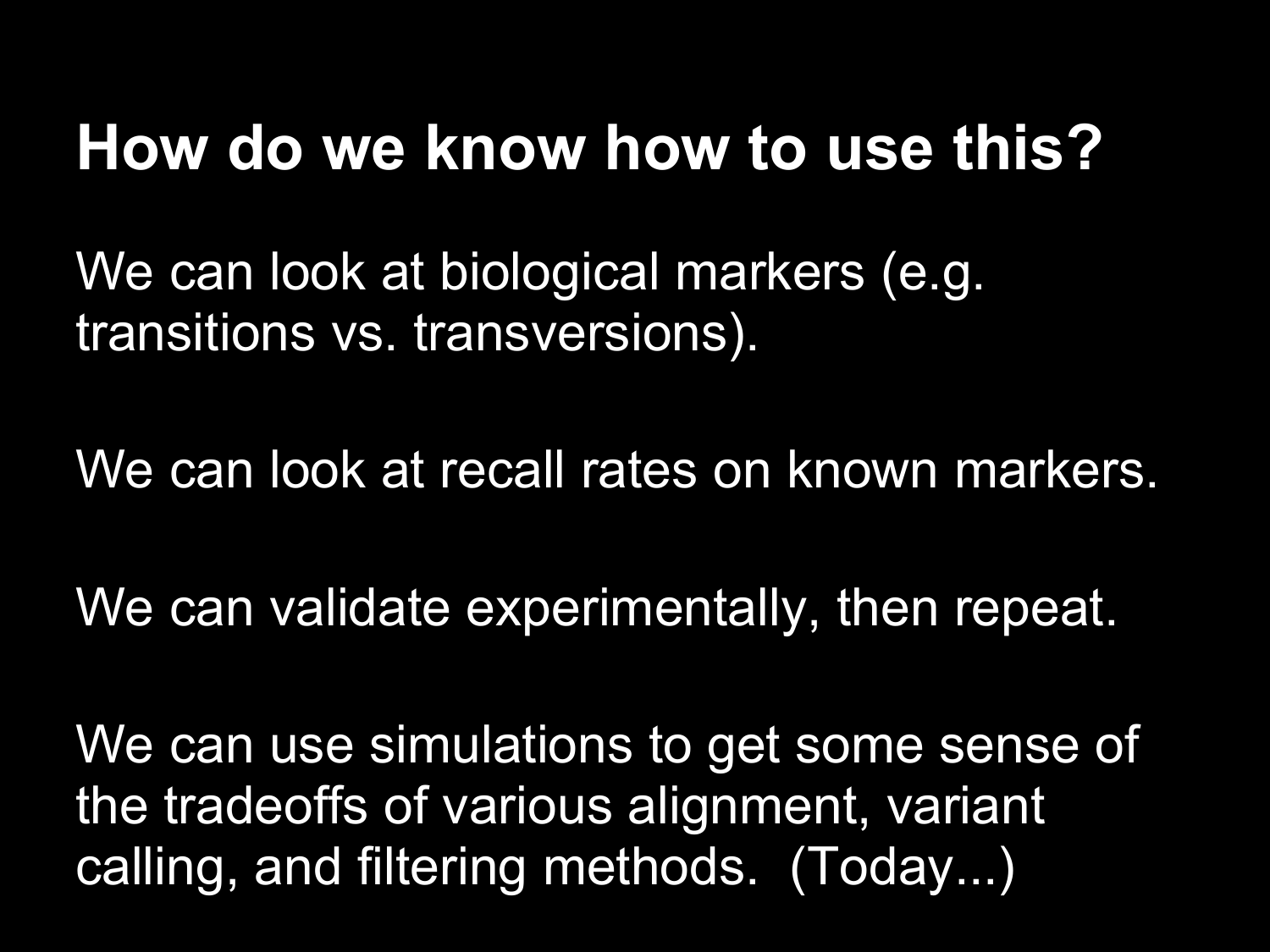#### **How do we know how to use this?**

We can look at biological markers (e.g. transitions vs. transversions).

We can look at recall rates on known markers.

We can validate experimentally, then repeat.

We can use simulations to get some sense of the tradeoffs of various alignment, variant calling, and filtering methods. (Today...)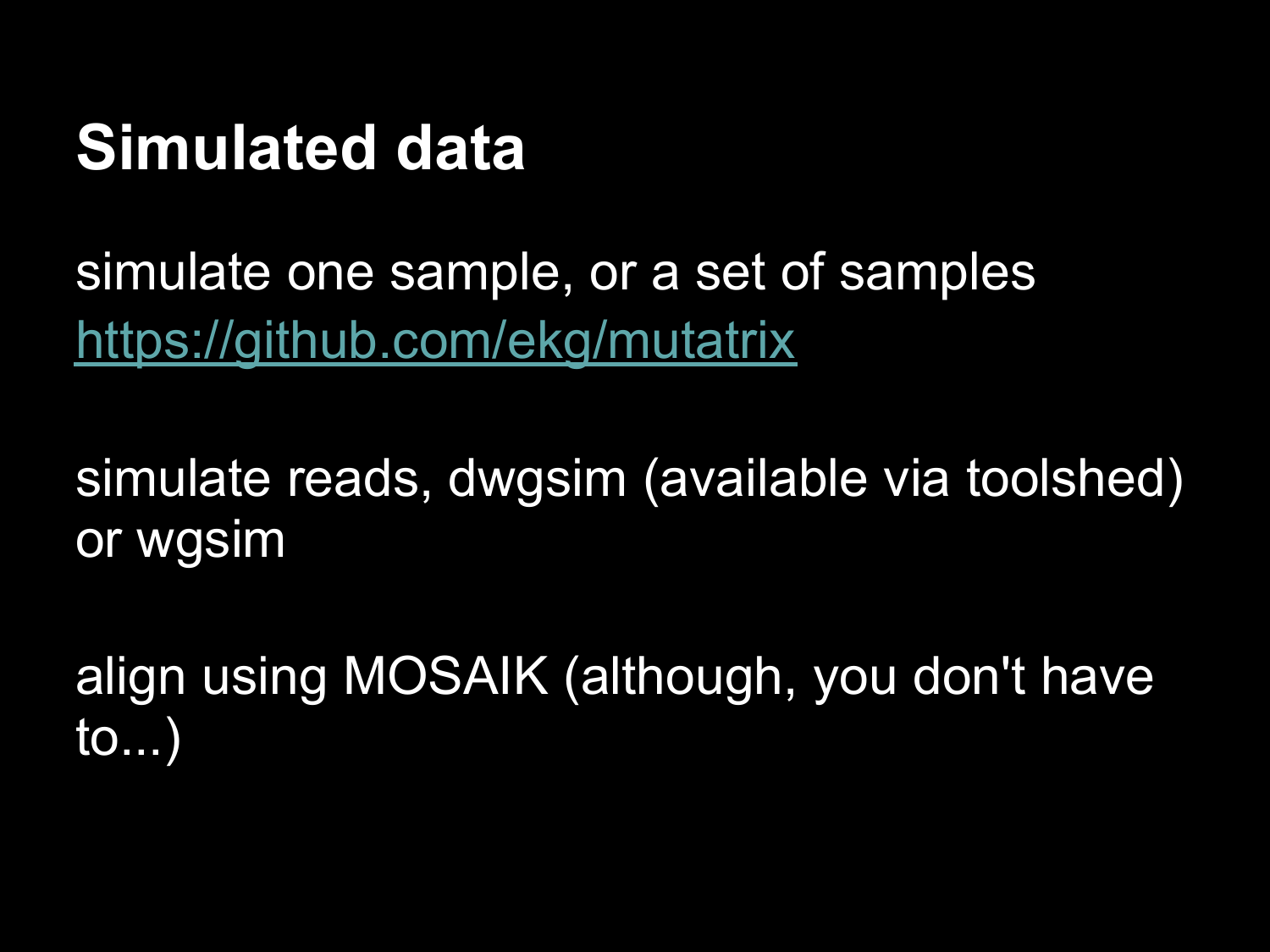### **Simulated data**

simulate one sample, or a set of samples <https://github.com/ekg/mutatrix>

simulate reads, dwgsim (available via toolshed) or wgsim

align using MOSAIK (although, you don't have to...)